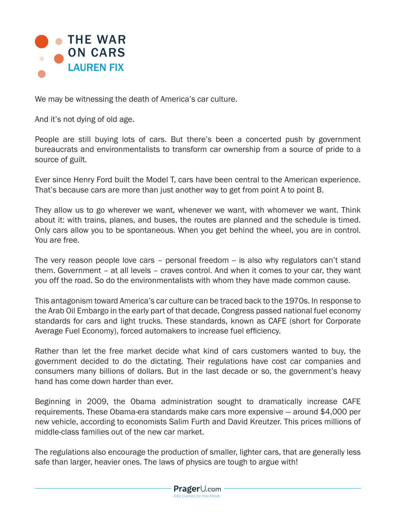

We may be witnessing the death of America's car culture.

And it's not dying of old age.

People are still buying lots of cars. But there's been a concerted push by government bureaucrats and environmentalists to transform car ownership from a source of pride to a source of guilt.

Ever since Henry Ford built the Model T, cars have been central to the American experience. That's because cars are more than just another way to get from point A to point B.

They allow us to go wherever we want, whenever we want, with whomever we want. Think about it: with trains, planes, and buses, the routes are planned and the schedule is timed. Only cars allow you to be spontaneous. When you get behind the wheel, you are in control. You are free.

The very reason people love cars – personal freedom – is also why regulators can't stand them. Government – at all levels – craves control. And when it comes to your car, they want you off the road. So do the environmentalists with whom they have made common cause.

This antagonism toward America's car culture can be traced back to the 1970s. In response to the Arab Oil Embargo in the early part of that decade, Congress passed national fuel economy standards for cars and light trucks. These standards, known as CAFE (short for Corporate Average Fuel Economy), forced automakers to increase fuel efficiency.

Rather than let the free market decide what kind of cars customers wanted to buy, the government decided to do the dictating. Their regulations have cost car companies and consumers many billions of dollars. But in the last decade or so, the government's heavy hand has come down harder than ever.

Beginning in 2009, the Obama administration sought to dramatically increase CAFE requirements. These Obama-era standards make cars more expensive — around \$4,000 per new vehicle, according to economists Salim Furth and David Kreutzer. This prices millions of middle-class families out of the new car market.

The regulations also encourage the production of smaller, lighter cars, that are generally less safe than larger, heavier ones. The laws of physics are tough to argue with!